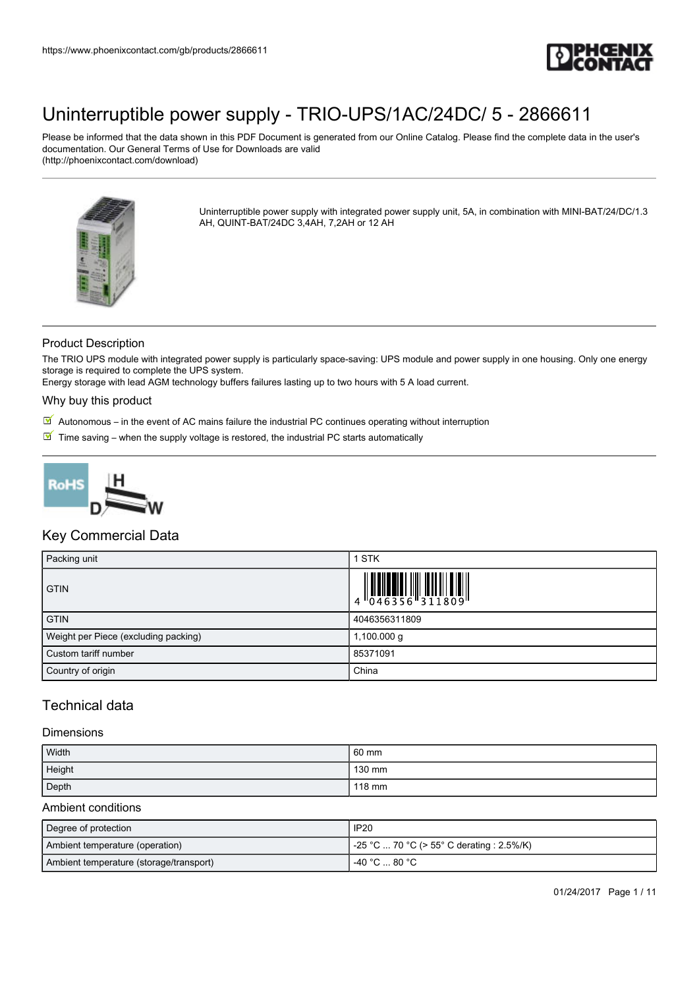

Please be informed that the data shown in this PDF Document is generated from our Online Catalog. Please find the complete data in the user's documentation. Our General Terms of Use for Downloads are valid (http://phoenixcontact.com/download)



Uninterruptible power supply with integrated power supply unit, 5A, in combination with MINI-BAT/24/DC/1.3 AH, QUINT-BAT/24DC 3,4AH, 7,2AH or 12 AH

### Product Description

The TRIO UPS module with integrated power supply is particularly space-saving: UPS module and power supply in one housing. Only one energy storage is required to complete the UPS system.

Energy storage with lead AGM technology buffers failures lasting up to two hours with 5 A load current.

#### Why buy this product

- $\boxed{\mathbb{M}}$  Autonomous in the event of AC mains failure the industrial PC continues operating without interruption
- $\blacksquare$  Time saving when the supply voltage is restored, the industrial PC starts automatically



### Key Commercial Data

| Packing unit                         | <b>STK</b>                                                                |
|--------------------------------------|---------------------------------------------------------------------------|
| <b>GTIN</b>                          | $\begin{array}{c} 1 & 0 & 0 & 0 \\ 0 & 0 & 4 & 6 & 3 & 5 & 6 \end{array}$ |
| <b>GTIN</b>                          | 4046356311809                                                             |
| Weight per Piece (excluding packing) | 1,100.000 g                                                               |
| Custom tariff number                 | 85371091                                                                  |
| Country of origin                    | China                                                                     |

## Technical data

#### Dimensions

| Width  | 60 mm  |
|--------|--------|
| Height | 130 mm |
| Depth  | 118 mm |

#### Ambient conditions

| Degree of protection                    | <b>IP20</b>                               |
|-----------------------------------------|-------------------------------------------|
| Ambient temperature (operation)         | -25 °C  70 °C (> 55° C derating : 2.5%/K) |
| Ambient temperature (storage/transport) | -40 °C  80 °C                             |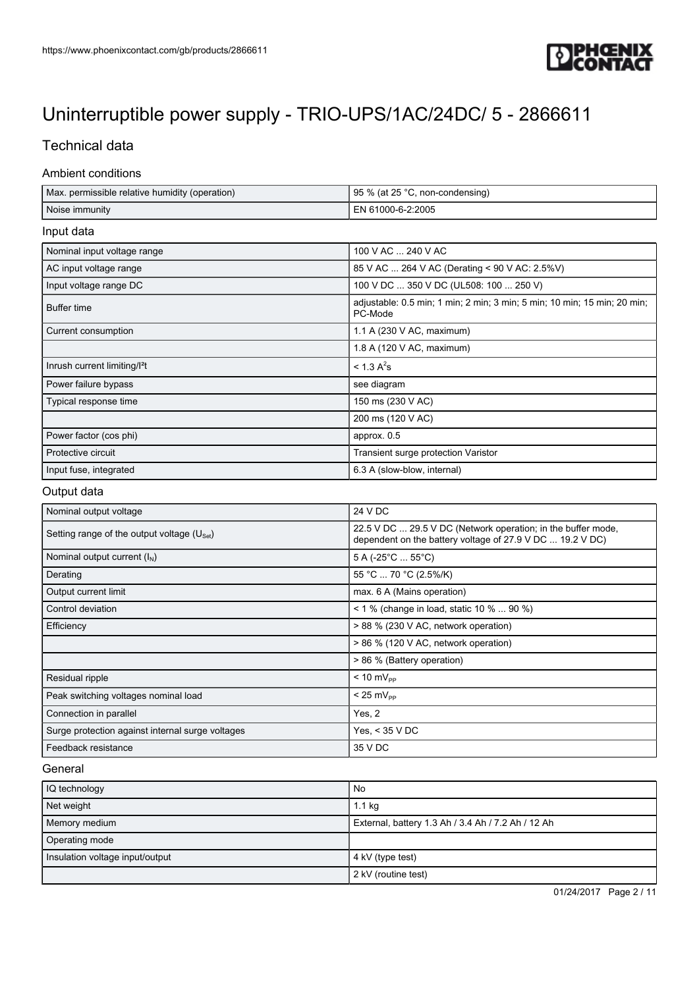

## Technical data

#### Ambient conditions

| Max. permissible relative humidity (operation) | 95 % (at 25 °C, non-condensing)                                                     |
|------------------------------------------------|-------------------------------------------------------------------------------------|
| Noise immunity                                 | EN 61000-6-2:2005                                                                   |
| Input data                                     |                                                                                     |
| Nominal input voltage range                    | 100 V AC  240 V AC                                                                  |
| AC input voltage range                         | 85 V AC  264 V AC (Derating < 90 V AC: 2.5%V)                                       |
| Input voltage range DC                         | 100 V DC  350 V DC (UL508: 100  250 V)                                              |
| <b>Buffer time</b>                             | adjustable: 0.5 min; 1 min; 2 min; 3 min; 5 min; 10 min; 15 min; 20 min;<br>PC-Mode |
| Current consumption                            | 1.1 A (230 V AC, maximum)                                                           |
|                                                | 1.8 A (120 V AC, maximum)                                                           |
| Inrush current limiting/l <sup>2</sup> t       | $< 1.3 A^{2} s$                                                                     |
| Power failure bypass                           | see diagram                                                                         |
| Typical response time                          | 150 ms (230 V AC)                                                                   |
|                                                | 200 ms (120 V AC)                                                                   |
| Power factor (cos phi)                         | approx. 0.5                                                                         |
| Protective circuit                             | Transient surge protection Varistor                                                 |
| Input fuse, integrated                         | 6.3 A (slow-blow, internal)                                                         |
| Output data                                    |                                                                                     |

## Nominal output voltage 24 V DC Setting range of the output voltage  $(U<sub>Set</sub>)$ 22.5 V DC ... 29.5 V DC (Network operation; in the buffer mode, dependent on the battery voltage of 27.9 V DC ... 19.2 V DC) Nominal output current  $(I_N)$  5 A (-25°C ... 55°C) Derating 55 °C ... 70 °C (2.5%/K) Output current limit max. 6 A (Mains operation) Control deviation  $\vert$  < 1 % (change in load, static 10 % ... 90 %) Efficiency **Efficiency Efficiency Efficiency Efficiency Exercise 28 % (230 V AC, network operation)** > 86 % (120 V AC, network operation) > 86 % (Battery operation)  $Residual$  ripple  $\vert$  < 10 mV<sub>PP</sub> Peak switching voltages nominal load  $\vert$  < 25 mV<sub>PP</sub> Connection in parallel **The Connection in parallel** Yes, 2 Surge protection against internal surge voltages Yes, < 35 V DC Feedback resistance 35 V DC

#### **General**

| IQ technology                   | No                                                 |
|---------------------------------|----------------------------------------------------|
| Net weight                      | $1.1$ kg                                           |
| Memory medium                   | External, battery 1.3 Ah / 3.4 Ah / 7.2 Ah / 12 Ah |
| Operating mode                  |                                                    |
| Insulation voltage input/output | 4 kV (type test)                                   |
|                                 | 2 kV (routine test)                                |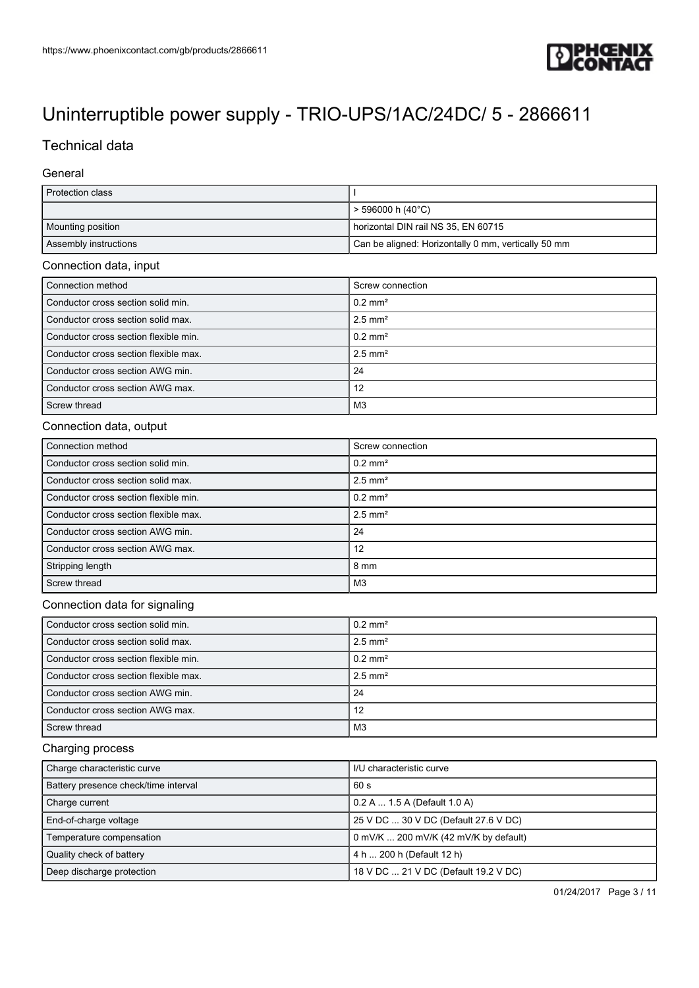

# [Uninterruptible power supply - TRIO-UPS/1AC/24DC/ 5 - 2866611](https://www.phoenixcontact.com/gb/products/2866611)

# Technical data

#### **General**

| Protection class                      |                                                     |  |
|---------------------------------------|-----------------------------------------------------|--|
|                                       | > 596000 h (40°C)                                   |  |
| Mounting position                     | horizontal DIN rail NS 35, EN 60715                 |  |
| Assembly instructions                 | Can be aligned: Horizontally 0 mm, vertically 50 mm |  |
| Connection data, input                |                                                     |  |
| Connection method                     | Screw connection                                    |  |
| Conductor cross section solid min.    | $0.2$ mm <sup>2</sup>                               |  |
| Conductor cross section solid max.    | $2.5$ mm <sup>2</sup>                               |  |
| Conductor cross section flexible min. | $0.2 \text{ mm}^2$                                  |  |
| Conductor cross section flexible max. | $2.5$ mm <sup>2</sup>                               |  |
| Conductor cross section AWG min.      | 24                                                  |  |
| Conductor cross section AWG max.      | 12                                                  |  |
| Screw thread                          | M <sub>3</sub>                                      |  |
| Connection data, output               |                                                     |  |
| Connection method                     | Screw connection                                    |  |
| Conductor cross section solid min.    | $0.2$ mm <sup>2</sup>                               |  |
| Conductor cross section solid max.    | $2.5$ mm <sup>2</sup>                               |  |
| Conductor cross section flexible min. | $0.2 \text{ mm}^2$                                  |  |
| Conductor cross section flexible max. | $2.5$ mm <sup>2</sup>                               |  |
| Conductor cross section AWG min.      | 24                                                  |  |
| Conductor cross section AWG max.      | 12                                                  |  |
| Stripping length                      | 8 mm                                                |  |
| Screw thread                          | M <sub>3</sub>                                      |  |
| Connection data for signaling         |                                                     |  |
| Conductor cross section solid min.    | $0.2$ mm <sup>2</sup>                               |  |
| Conductor cross section solid max.    | $2.5$ mm <sup>2</sup>                               |  |
| Conductor cross section flexible min. | $0.2 \text{ mm}^2$                                  |  |
| Conductor cross section flexible max. | $2.5$ mm <sup>2</sup>                               |  |
| Conductor cross section AWG min.      | 24                                                  |  |
| Conductor cross section AWG max.      | 12                                                  |  |
| Screw thread                          | M <sub>3</sub>                                      |  |
| Charging process                      |                                                     |  |
| Charge characteristic curve           | I/U characteristic curve                            |  |
| Battery presence check/time interval  | 60 s                                                |  |
| Charge current                        | 0.2 A  1.5 A (Default 1.0 A)                        |  |
| End-of-charge voltage                 | 25 V DC  30 V DC (Default 27.6 V DC)                |  |
| Temperature compensation              | 0 mV/K  200 mV/K (42 mV/K by default)               |  |
| Quality check of battery              | 4 h  200 h (Default 12 h)                           |  |
| Deep discharge protection             | 18 V DC  21 V DC (Default 19.2 V DC)                |  |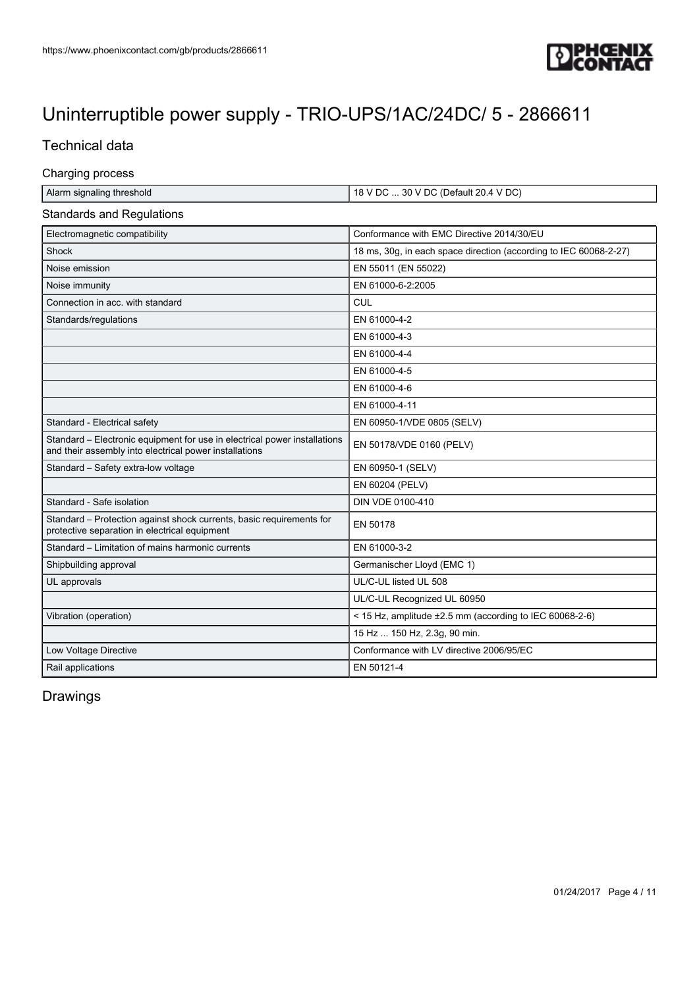

## Technical data

#### Charging process

| Alarm signaling threshold | $18$ V DC  30 V DC (Default 20.4 V DC) |
|---------------------------|----------------------------------------|

#### Standards and Regulations

| Electromagnetic compatibility                                                                                                       | Conformance with EMC Directive 2014/30/EU                         |
|-------------------------------------------------------------------------------------------------------------------------------------|-------------------------------------------------------------------|
| Shock                                                                                                                               | 18 ms, 30g, in each space direction (according to IEC 60068-2-27) |
| Noise emission                                                                                                                      | EN 55011 (EN 55022)                                               |
| Noise immunity                                                                                                                      | EN 61000-6-2:2005                                                 |
| Connection in acc. with standard                                                                                                    | CUL                                                               |
| Standards/regulations                                                                                                               | EN 61000-4-2                                                      |
|                                                                                                                                     | EN 61000-4-3                                                      |
|                                                                                                                                     | EN 61000-4-4                                                      |
|                                                                                                                                     | EN 61000-4-5                                                      |
|                                                                                                                                     | EN 61000-4-6                                                      |
|                                                                                                                                     | EN 61000-4-11                                                     |
| Standard - Electrical safety                                                                                                        | EN 60950-1/VDE 0805 (SELV)                                        |
| Standard - Electronic equipment for use in electrical power installations<br>and their assembly into electrical power installations | EN 50178/VDE 0160 (PELV)                                          |
| Standard - Safety extra-low voltage                                                                                                 | EN 60950-1 (SELV)                                                 |
|                                                                                                                                     | EN 60204 (PELV)                                                   |
| Standard - Safe isolation                                                                                                           | DIN VDE 0100-410                                                  |
| Standard – Protection against shock currents, basic requirements for<br>protective separation in electrical equipment               | EN 50178                                                          |
| Standard - Limitation of mains harmonic currents                                                                                    | EN 61000-3-2                                                      |
| Shipbuilding approval                                                                                                               | Germanischer Lloyd (EMC 1)                                        |
| UL approvals                                                                                                                        | UL/C-UL listed UL 508                                             |
|                                                                                                                                     | UL/C-UL Recognized UL 60950                                       |
| Vibration (operation)                                                                                                               | < 15 Hz, amplitude ±2.5 mm (according to IEC 60068-2-6)           |
|                                                                                                                                     | 15 Hz  150 Hz, 2.3g, 90 min.                                      |
| Low Voltage Directive                                                                                                               | Conformance with LV directive 2006/95/EC                          |
| Rail applications                                                                                                                   | EN 50121-4                                                        |
|                                                                                                                                     |                                                                   |

## Drawings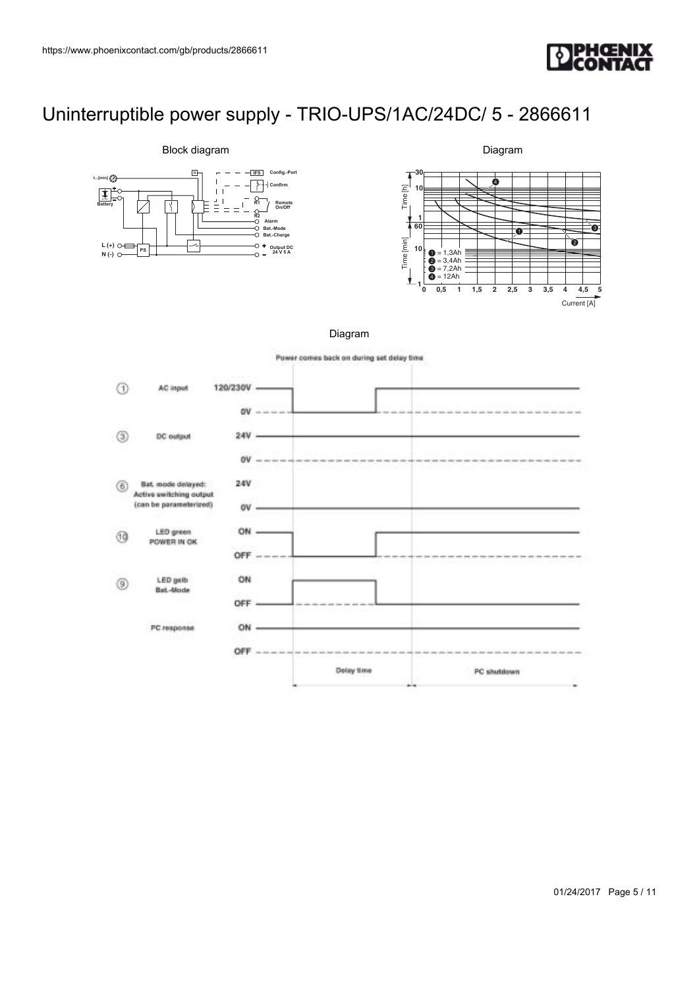



Diagram



Diagram

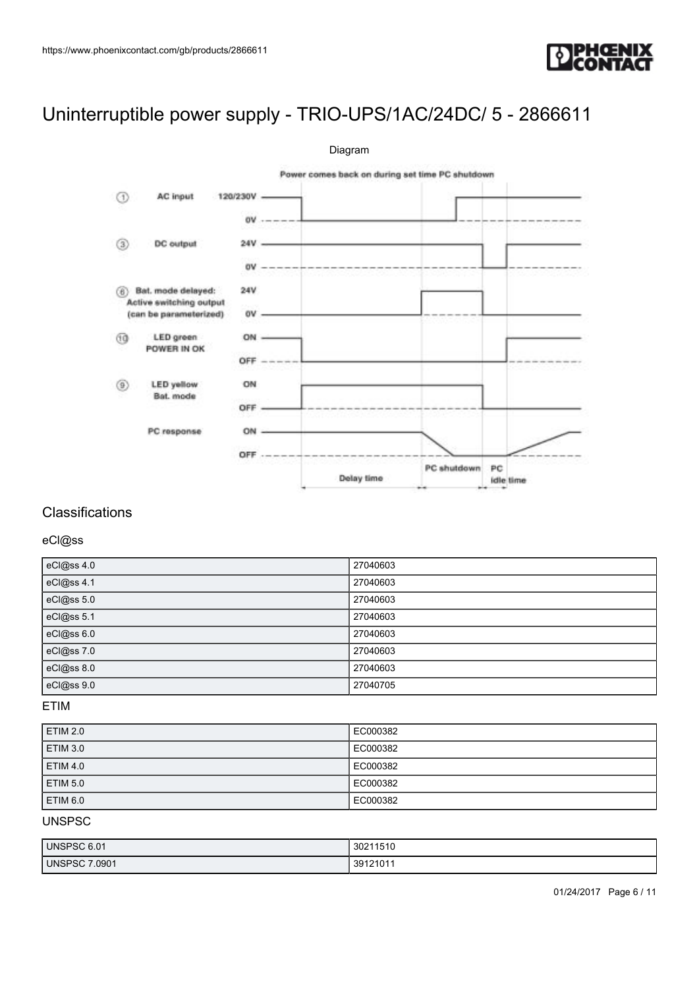



### **Classifications**

#### eCl@ss

| eCl@ss 4.0 | 27040603 |
|------------|----------|
| eCl@ss 4.1 | 27040603 |
| eCl@ss 5.0 | 27040603 |
| eCl@ss 5.1 | 27040603 |
| eCl@ss 6.0 | 27040603 |
| eCl@ss 7.0 | 27040603 |
| eCl@ss 8.0 | 27040603 |
| eCl@ss 9.0 | 27040705 |

### ETIM

| <b>ETIM 2.0</b> | EC000382 |
|-----------------|----------|
| <b>ETIM 3.0</b> | EC000382 |
| <b>ETIM 4.0</b> | EC000382 |
| <b>ETIM 5.0</b> | EC000382 |
| <b>ETIM 6.0</b> | EC000382 |

### UNSPSC

| <b>UNSPSC 6.01</b>   | 30211510 |
|----------------------|----------|
| <b>UNSPSC 7.0901</b> | 39121011 |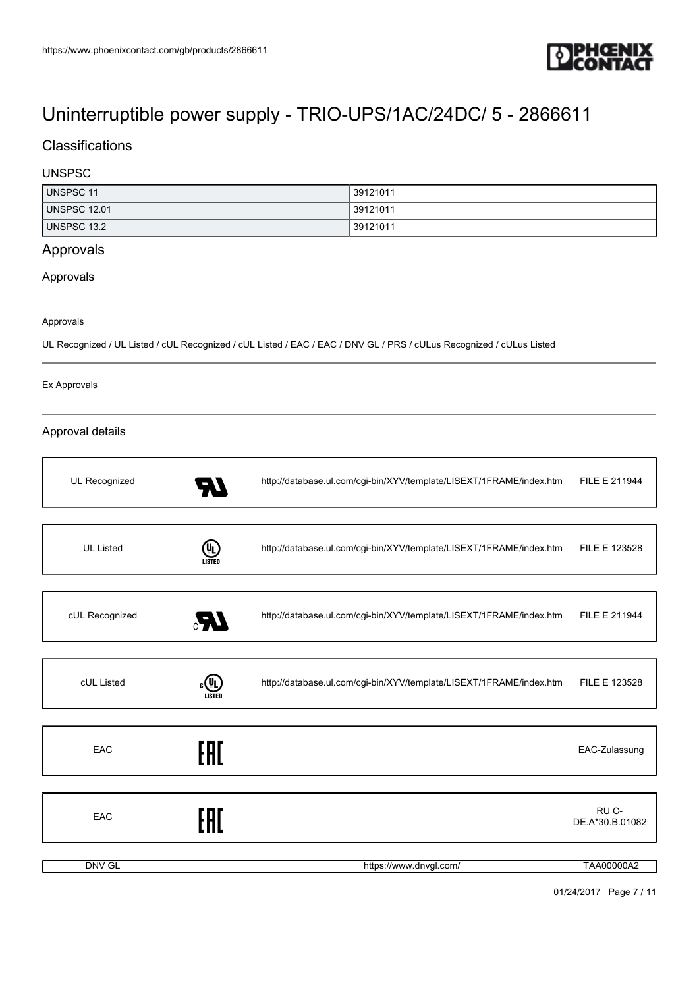

## **Classifications**

### UNSPSC

| <b>UNSPSC 11</b>    | 39121011 |
|---------------------|----------|
| <b>UNSPSC 12.01</b> | 39121011 |
| <b>UNSPSC 13.2</b>  | 39121011 |

## Approvals

Approvals

#### Approvals

UL Recognized / UL Listed / cUL Recognized / cUL Listed / EAC / EAC / DNV GL / PRS / cULus Recognized / cULus Listed

#### Ex Approvals

### Approval details

| UL Recognized    | 70            | http://database.ul.com/cgi-bin/XYV/template/LISEXT/1FRAME/index.htm | FILE E 211944                        |
|------------------|---------------|---------------------------------------------------------------------|--------------------------------------|
|                  |               |                                                                     |                                      |
| <b>UL Listed</b> | (U)<br>LISTED | http://database.ul.com/cgi-bin/XYV/template/LISEXT/1FRAME/index.htm | FILE E 123528                        |
|                  |               |                                                                     |                                      |
| cUL Recognized   | Æ.            | http://database.ul.com/cgi-bin/XYV/template/LISEXT/1FRAME/index.htm | FILE E 211944                        |
|                  |               |                                                                     |                                      |
| cUL Listed       | (VL)          | http://database.ul.com/cgi-bin/XYV/template/LISEXT/1FRAME/index.htm | FILE E 123528                        |
|                  |               |                                                                     |                                      |
| EAC              | EAC           |                                                                     | EAC-Zulassung                        |
|                  |               |                                                                     |                                      |
| EAC              | FAT           |                                                                     | RU <sub>C</sub> -<br>DE.A*30.B.01082 |
|                  |               |                                                                     |                                      |
| <b>DNV GL</b>    |               | https://www.dnvgl.com/                                              | <b>TAA00000A2</b>                    |

01/24/2017 Page 7 / 11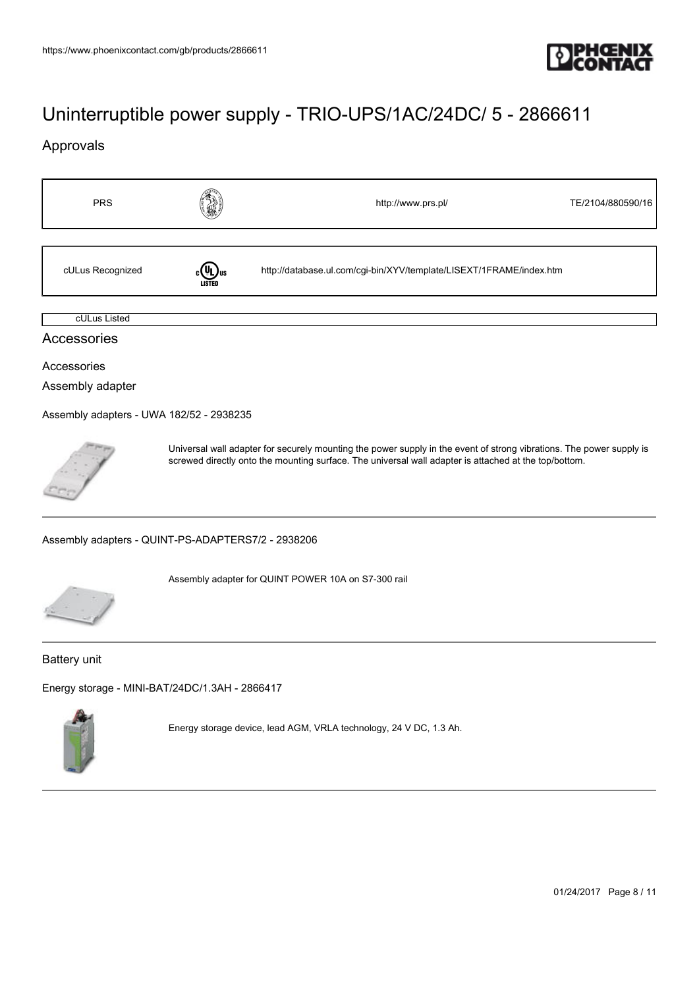

## Approvals

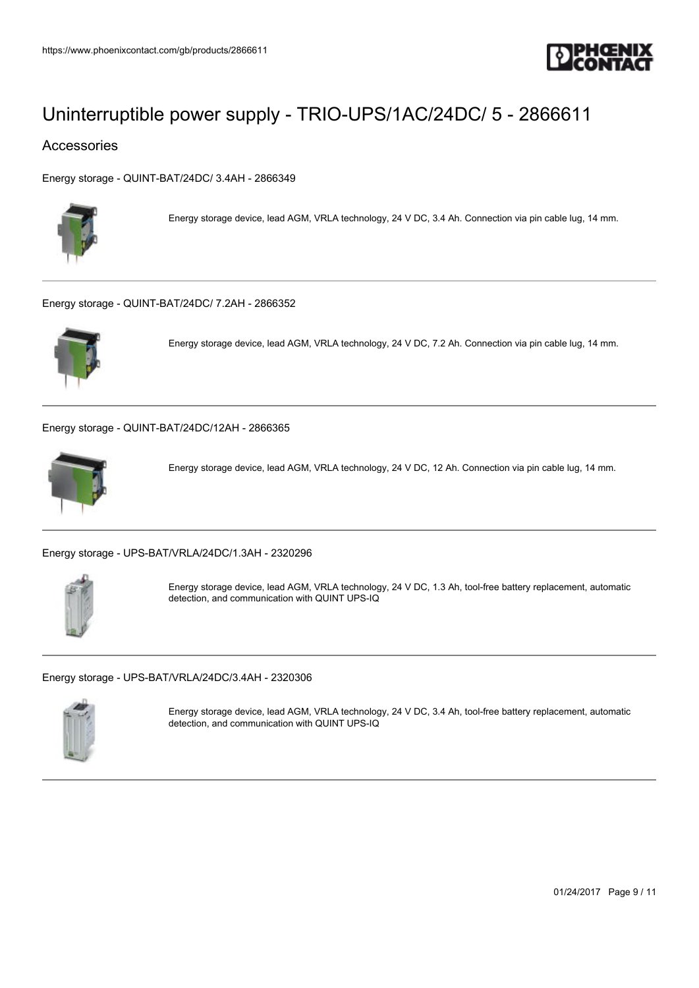

### Accessories

[Energy storage - QUINT-BAT/24DC/ 3.4AH - 2866349](https://www.phoenixcontact.com/gb/products/2866349)



Energy storage device, lead AGM, VRLA technology, 24 V DC, 3.4 Ah. Connection via pin cable lug, 14 mm.

[Energy storage - QUINT-BAT/24DC/ 7.2AH - 2866352](https://www.phoenixcontact.com/gb/products/2866352)



Energy storage device, lead AGM, VRLA technology, 24 V DC, 7.2 Ah. Connection via pin cable lug, 14 mm.

[Energy storage - QUINT-BAT/24DC/12AH - 2866365](https://www.phoenixcontact.com/gb/products/2866365)



Energy storage device, lead AGM, VRLA technology, 24 V DC, 12 Ah. Connection via pin cable lug, 14 mm.

[Energy storage - UPS-BAT/VRLA/24DC/1.3AH - 2320296](https://www.phoenixcontact.com/gb/products/2320296)



Energy storage device, lead AGM, VRLA technology, 24 V DC, 1.3 Ah, tool-free battery replacement, automatic detection, and communication with QUINT UPS-IQ

[Energy storage - UPS-BAT/VRLA/24DC/3.4AH - 2320306](https://www.phoenixcontact.com/gb/products/2320306)



Energy storage device, lead AGM, VRLA technology, 24 V DC, 3.4 Ah, tool-free battery replacement, automatic detection, and communication with QUINT UPS-IQ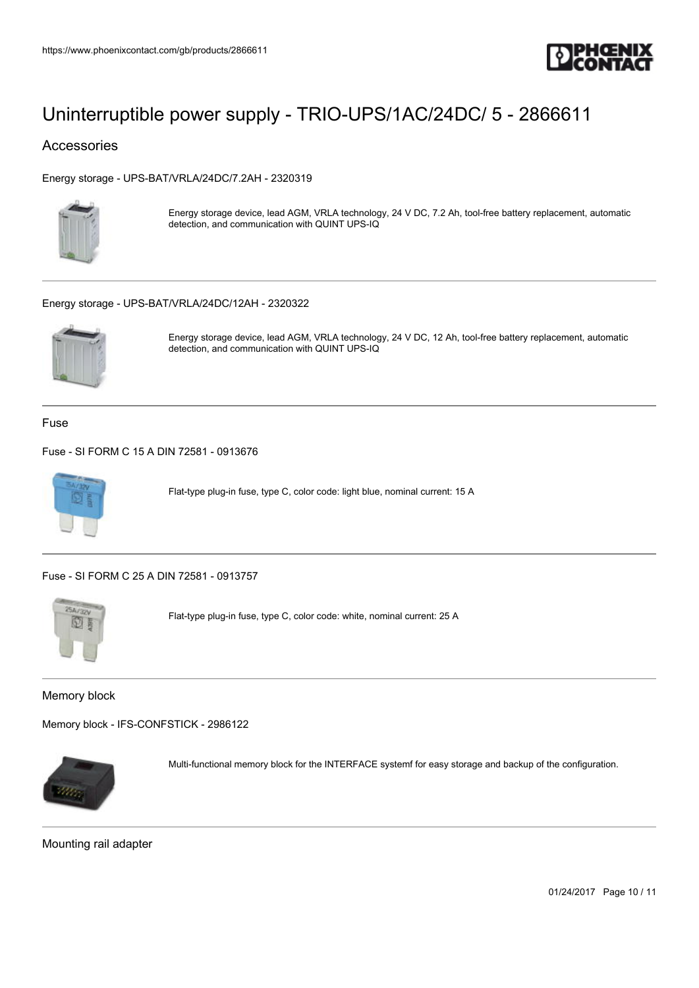

### Accessories

[Energy storage - UPS-BAT/VRLA/24DC/7.2AH - 2320319](https://www.phoenixcontact.com/gb/products/2320319)



Energy storage device, lead AGM, VRLA technology, 24 V DC, 7.2 Ah, tool-free battery replacement, automatic detection, and communication with QUINT UPS-IQ

#### [Energy storage - UPS-BAT/VRLA/24DC/12AH - 2320322](https://www.phoenixcontact.com/gb/products/2320322)



Energy storage device, lead AGM, VRLA technology, 24 V DC, 12 Ah, tool-free battery replacement, automatic detection, and communication with QUINT UPS-IQ

Fuse

[Fuse - SI FORM C 15 A DIN 72581 - 0913676](https://www.phoenixcontact.com/gb/products/0913676)



Flat-type plug-in fuse, type C, color code: light blue, nominal current: 15 A

[Fuse - SI FORM C 25 A DIN 72581 - 0913757](https://www.phoenixcontact.com/gb/products/0913757)



Flat-type plug-in fuse, type C, color code: white, nominal current: 25 A

Memory block

[Memory block - IFS-CONFSTICK - 2986122](https://www.phoenixcontact.com/gb/products/2986122)



Multi-functional memory block for the INTERFACE systemf for easy storage and backup of the configuration.

Mounting rail adapter

01/24/2017 Page 10 / 11